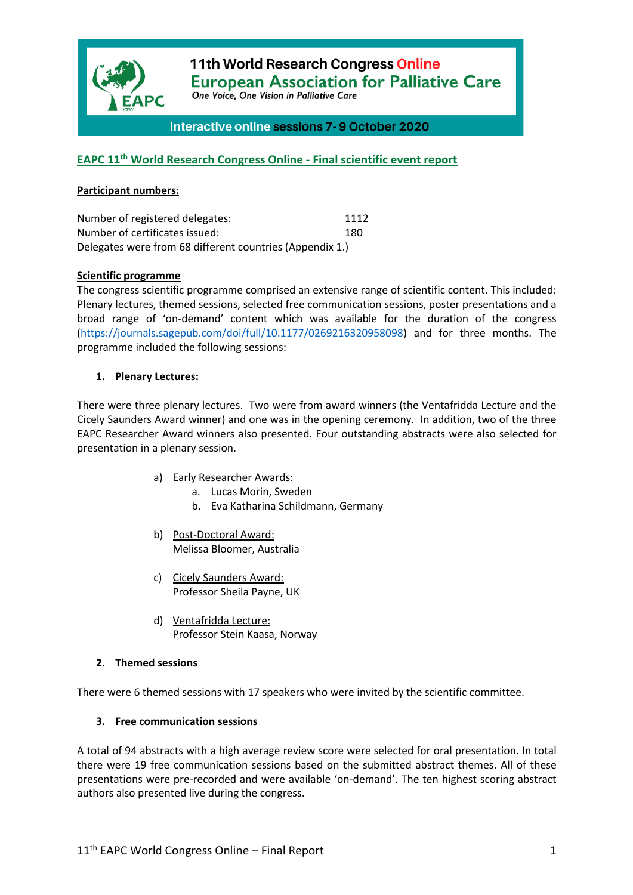

11th World Research Congress Online **European Association for Palliative Care** 

One Voice, One Vision in Palliative Care

# Interactive online sessions 7-9 October 2020

# **EAPC 11th World Research Congress Online - Final scientific event report**

#### **Participant numbers:**

| Number of registered delegates:                          | 1112 |
|----------------------------------------------------------|------|
| Number of certificates issued:                           | 180  |
| Delegates were from 68 different countries (Appendix 1.) |      |

#### **Scientific programme**

The congress scientific programme comprised an extensive range of scientific content. This included: Plenary lectures, themed sessions, selected free communication sessions, poster presentations and a broad range of 'on-demand' content which was available for the duration of the congress (https://journals.sagepub.com/doi/full/10.1177/0269216320958098) and for three months. The programme included the following sessions:

#### **1. Plenary Lectures:**

There were three plenary lectures. Two were from award winners (the Ventafridda Lecture and the Cicely Saunders Award winner) and one was in the opening ceremony. In addition, two of the three EAPC Researcher Award winners also presented. Four outstanding abstracts were also selected for presentation in a plenary session.

- a) Early Researcher Awards:
	- a. Lucas Morin, Sweden
	- b. Eva Katharina Schildmann, Germany
- b) Post-Doctoral Award: Melissa Bloomer, Australia
- c) Cicely Saunders Award: Professor Sheila Payne, UK
- d) Ventafridda Lecture: Professor Stein Kaasa, Norway

#### **2. Themed sessions**

There were 6 themed sessions with 17 speakers who were invited by the scientific committee.

#### **3. Free communication sessions**

A total of 94 abstracts with a high average review score were selected for oral presentation. In total there were 19 free communication sessions based on the submitted abstract themes. All of these presentations were pre-recorded and were available 'on-demand'. The ten highest scoring abstract authors also presented live during the congress.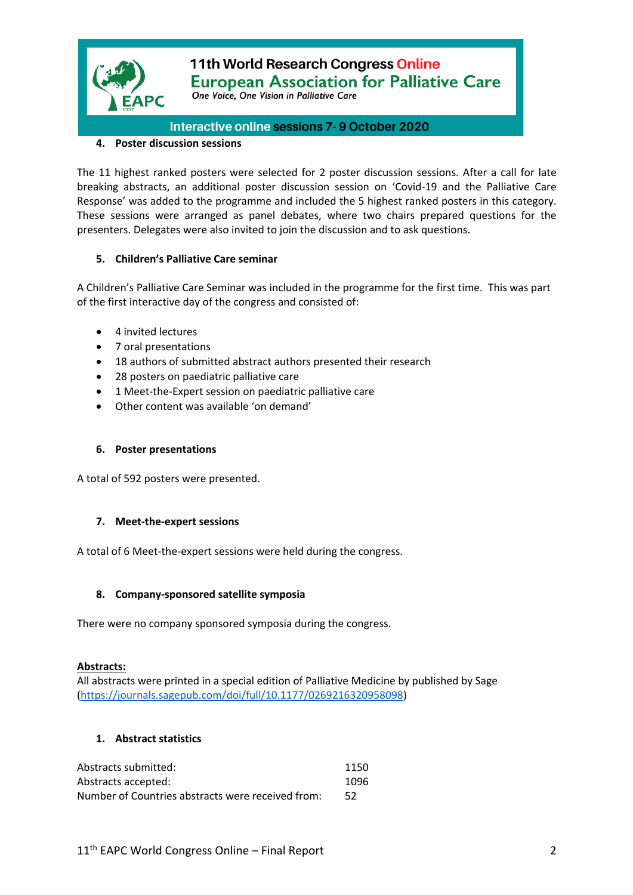

# 11th World Research Congress Online **European Association for Palliative Care** One Voice, One Vision in Palliative Care

# Interactive online sessions 7-9 October 2020

### **4. Poster discussion sessions**

The 11 highest ranked posters were selected for 2 poster discussion sessions. After a call for late breaking abstracts, an additional poster discussion session on 'Covid-19 and the Palliative Care Response' was added to the programme and included the 5 highest ranked posters in this category. These sessions were arranged as panel debates, where two chairs prepared questions for the presenters. Delegates were also invited to join the discussion and to ask questions.

## **5. Children's Palliative Care seminar**

A Children's Palliative Care Seminar was included in the programme for the first time. This was part of the first interactive day of the congress and consisted of:

- 4 invited lectures
- 7 oral presentations
- 18 authors of submitted abstract authors presented their research
- 28 posters on paediatric palliative care
- 1 Meet-the-Expert session on paediatric palliative care
- Other content was available 'on demand'

#### **6. Poster presentations**

A total of 592 posters were presented.

#### **7. Meet-the-expert sessions**

A total of 6 Meet-the-expert sessions were held during the congress.

#### **8. Company-sponsored satellite symposia**

There were no company sponsored symposia during the congress.

#### **Abstracts:**

All abstracts were printed in a special edition of Palliative Medicine by published by Sage (https://journals.sagepub.com/doi/full/10.1177/0269216320958098)

#### **1. Abstract statistics**

| Abstracts submitted:                              | 1150 |
|---------------------------------------------------|------|
| Abstracts accepted:                               | 1096 |
| Number of Countries abstracts were received from: | 52   |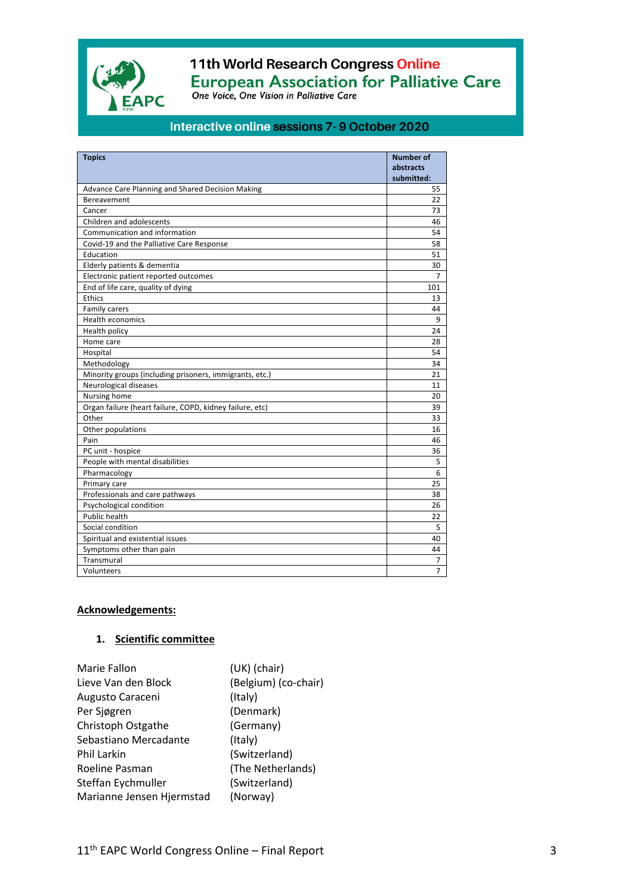

# 11th World Research Congress Online European Association for Palliative Care<br>One Voice, One Vision in Palliative Care

# Interactive online sessions 7-9 October 2020

| <b>Topics</b>                                            | <b>Number of</b> |
|----------------------------------------------------------|------------------|
|                                                          | abstracts        |
|                                                          | submitted:       |
| Advance Care Planning and Shared Decision Making         | 55               |
| Bereavement                                              | 22               |
| Cancer                                                   | 73               |
| Children and adolescents                                 | 46               |
| Communication and information                            | 54               |
| Covid-19 and the Palliative Care Response                | 58               |
| Education                                                | 51               |
| Elderly patients & dementia                              | 30               |
| Electronic patient reported outcomes                     | 7                |
| End of life care, quality of dying                       | 101              |
| Ethics                                                   | 13               |
| Family carers                                            | 44               |
| <b>Health economics</b>                                  | 9                |
| Health policy                                            | 24               |
| Home care                                                | 28               |
| Hospital                                                 | 54               |
| Methodology                                              | 34               |
| Minority groups (including prisoners, immigrants, etc.)  | 21               |
| Neurological diseases                                    | 11               |
| Nursing home                                             | 20               |
| Organ failure (heart failure, COPD, kidney failure, etc) | 39               |
| Other                                                    | 33               |
| Other populations                                        | 16               |
| Pain                                                     | 46               |
| PC unit - hospice                                        | 36               |
| People with mental disabilities                          | 5                |
| Pharmacology                                             | 6                |
| Primary care                                             | 25               |
| Professionals and care pathways                          | 38               |
| Psychological condition                                  | 26               |
| <b>Public health</b>                                     | 22               |
| Social condition                                         | 5                |
| Spiritual and existential issues                         | 40               |
| Symptoms other than pain                                 | 44               |
| Transmural                                               | 7                |
| Volunteers                                               | $\overline{7}$   |

#### **Acknowledgements:**

# **1. Scientific committee**

| Marie Fallon              | (UK) (chair)         |
|---------------------------|----------------------|
| Lieve Van den Block       | (Belgium) (co-chair) |
| Augusto Caraceni          | (Italy)              |
| Per Sjøgren               | (Denmark)            |
| Christoph Ostgathe        | (Germany)            |
| Sebastiano Mercadante     | (Italy)              |
| Phil Larkin               | (Switzerland)        |
| Roeline Pasman            | (The Netherlands)    |
| Steffan Eychmuller        | (Switzerland)        |
| Marianne Jensen Hjermstad | (Norway)             |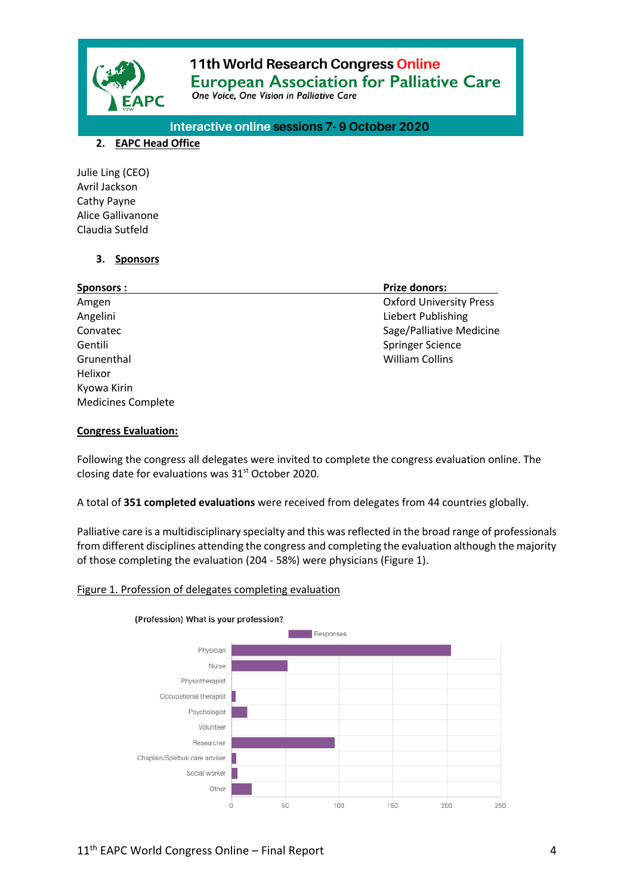

# 11th World Research Congress Online **European Association for Palliative Care** One Voice, One Vision in Palliative Care

Interactive online sessions 7-9 October 2020

### **2. EAPC Head Office**

Julie Ling (CEO) Avril Jackson Cathy Payne Alice Gallivanone Claudia Sutfeld

# **3. Sponsors**

| <b>Sponsors:</b>          | <b>Prize donors:</b>           |
|---------------------------|--------------------------------|
| Amgen                     | <b>Oxford University Press</b> |
| Angelini                  | Liebert Publishing             |
| Convatec                  | Sage/Palliative Medicine       |
| Gentili                   | Springer Science               |
| Grunenthal                | <b>William Collins</b>         |
| Helixor                   |                                |
| Kyowa Kirin               |                                |
| <b>Medicines Complete</b> |                                |

## **Congress Evaluation:**

Following the congress all delegates were invited to complete the congress evaluation online. The closing date for evaluations was 31<sup>st</sup> October 2020.

## A total of **351 completed evaluations** were received from delegates from 44 countries globally.

Palliative care is a multidisciplinary specialty and this was reflected in the broad range of professionals from different disciplines attending the congress and completing the evaluation although the majority of those completing the evaluation (204 - 58%) were physicians (Figure 1).

## Figure 1. Profession of delegates completing evaluation

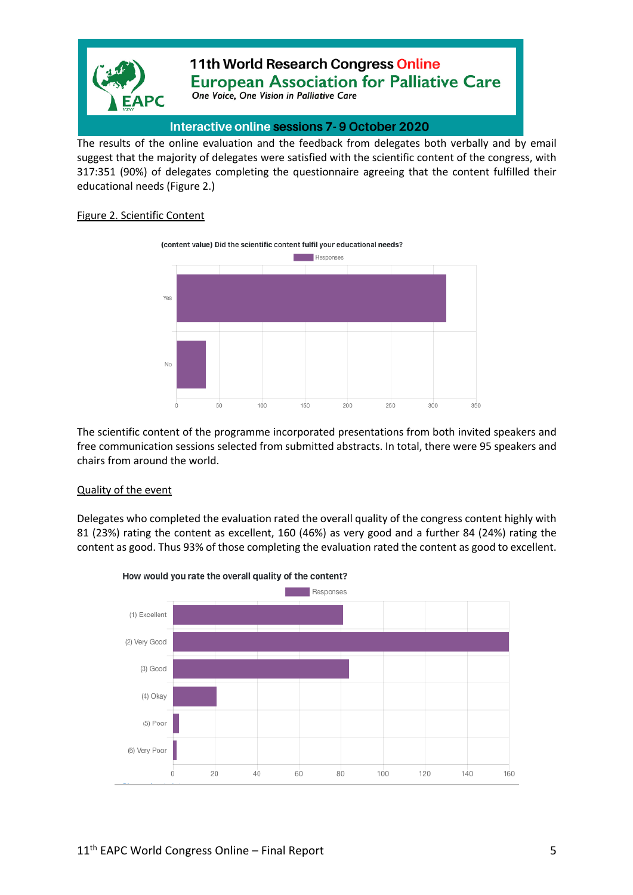

# Interactive online sessions 7-9 October 2020

The results of the online evaluation and the feedback from delegates both verbally and by email suggest that the majority of delegates were satisfied with the scientific content of the congress, with 317:351 (90%) of delegates completing the questionnaire agreeing that the content fulfilled their educational needs (Figure 2.)

# Figure 2. Scientific Content



The scientific content of the programme incorporated presentations from both invited speakers and free communication sessions selected from submitted abstracts. In total, there were 95 speakers and chairs from around the world.

#### Quality of the event

Delegates who completed the evaluation rated the overall quality of the congress content highly with 81 (23%) rating the content as excellent, 160 (46%) as very good and a further 84 (24%) rating the content as good. Thus 93% of those completing the evaluation rated the content as good to excellent.



How would you rate the overall quality of the content?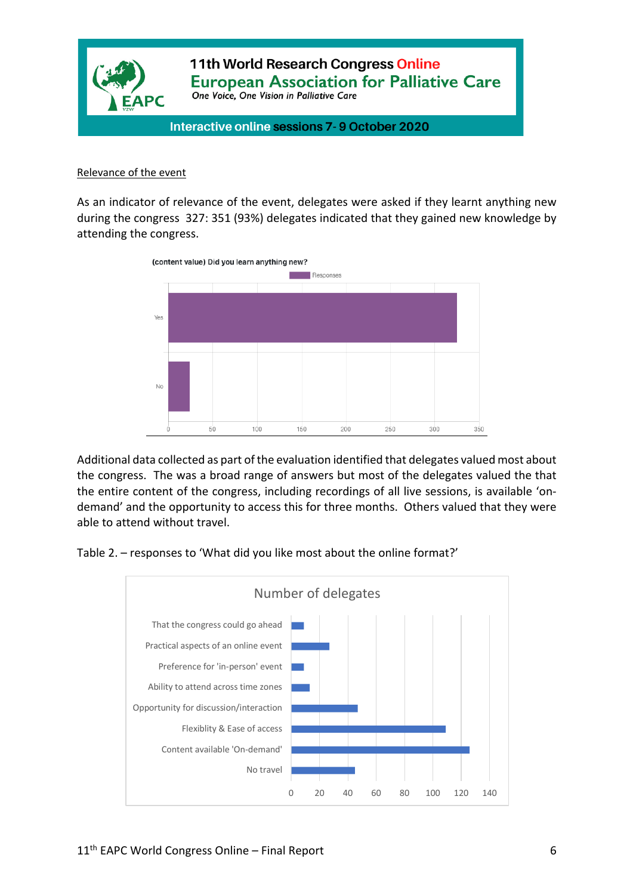

#### Relevance of the event

As an indicator of relevance of the event, delegates were asked if they learnt anything new during the congress 327: 351 (93%) delegates indicated that they gained new knowledge by attending the congress.



Additional data collected as part of the evaluation identified that delegates valued most about the congress. The was a broad range of answers but most of the delegates valued the that the entire content of the congress, including recordings of all live sessions, is available 'ondemand' and the opportunity to access this for three months. Others valued that they were able to attend without travel.

Table 2. – responses to 'What did you like most about the online format?'

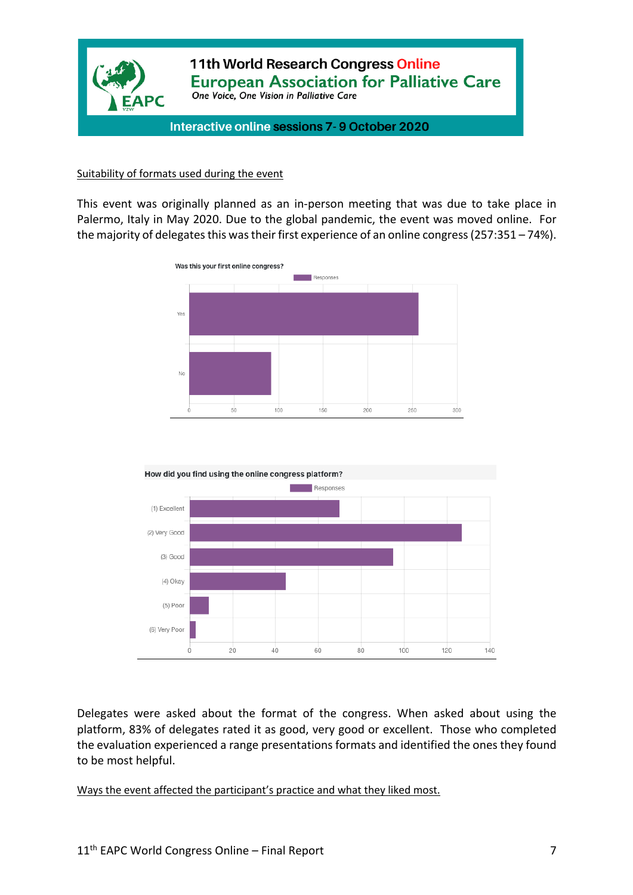

### Suitability of formats used during the event

This event was originally planned as an in-person meeting that was due to take place in Palermo, Italy in May 2020. Due to the global pandemic, the event was moved online. For the majority of delegates this was their first experience of an online congress(257:351 – 74%).





Delegates were asked about the format of the congress. When asked about using the platform, 83% of delegates rated it as good, very good or excellent. Those who completed the evaluation experienced a range presentations formats and identified the ones they found to be most helpful.

Ways the event affected the participant's practice and what they liked most.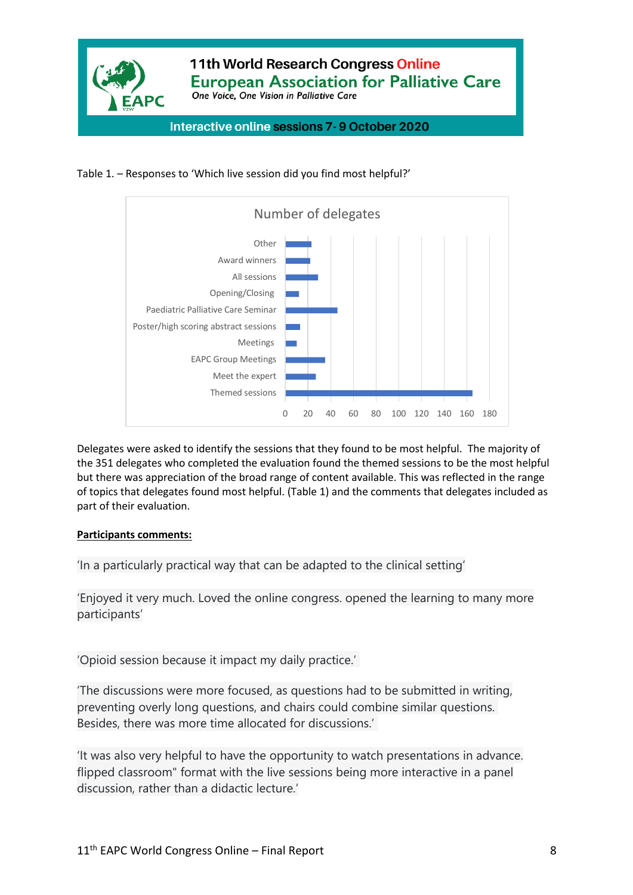





Delegates were asked to identify the sessions that they found to be most helpful. The majority of the 351 delegates who completed the evaluation found the themed sessions to be the most helpful but there was appreciation of the broad range of content available. This was reflected in the range of topics that delegates found most helpful. (Table 1) and the comments that delegates included as part of their evaluation.

## **Participants comments:**

'In a particularly practical way that can be adapted to the clinical setting'

'Enjoyed it very much. Loved the online congress. opened the learning to many more participants'

'Opioid session because it impact my daily practice.'

'The discussions were more focused, as questions had to be submitted in writing, preventing overly long questions, and chairs could combine similar questions. Besides, there was more time allocated for discussions.'

'It was also very helpful to have the opportunity to watch presentations in advance. flipped classroom" format with the live sessions being more interactive in a panel discussion, rather than a didactic lecture.'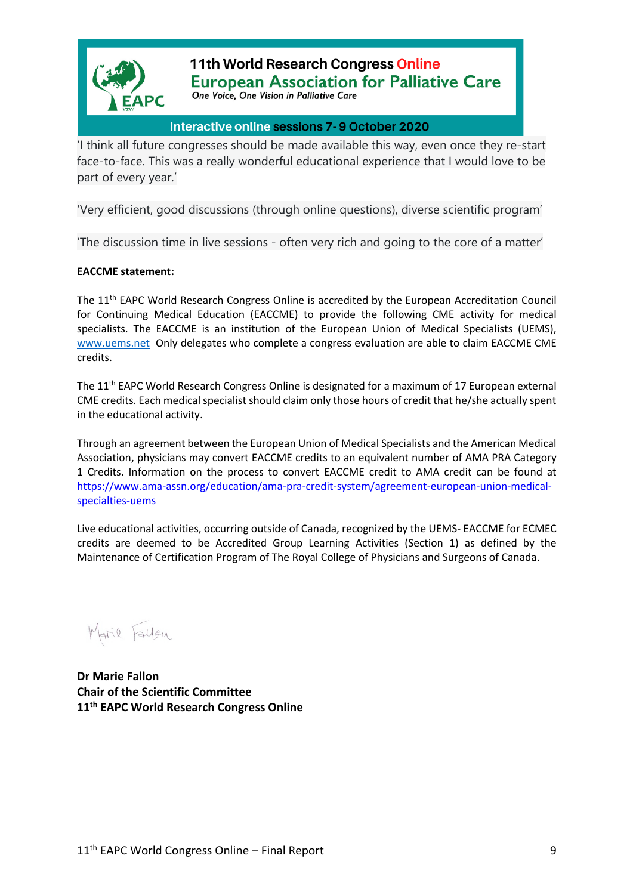

11th World Research Congress Online **European Association for Palliative Care** One Voice, One Vision in Palliative Care

# Interactive online sessions 7-9 October 2020

'I think all future congresses should be made available this way, even once they re-start face-to-face. This was a really wonderful educational experience that I would love to be part of every year.'

'Very efficient, good discussions (through online questions), diverse scientific program'

'The discussion time in live sessions - often very rich and going to the core of a matter'

## **EACCME statement:**

The 11th EAPC World Research Congress Online is accredited by the European Accreditation Council for Continuing Medical Education (EACCME) to provide the following CME activity for medical specialists. The EACCME is an institution of the European Union of Medical Specialists (UEMS), www.uems.net Only delegates who complete a congress evaluation are able to claim EACCME CME credits.

The 11<sup>th</sup> EAPC World Research Congress Online is designated for a maximum of 17 European external CME credits. Each medical specialist should claim only those hours of credit that he/she actually spent in the educational activity.

Through an agreement between the European Union of Medical Specialists and the American Medical Association, physicians may convert EACCME credits to an equivalent number of AMA PRA Category 1 Credits. Information on the process to convert EACCME credit to AMA credit can be found at https://www.ama-assn.org/education/ama-pra-credit-system/agreement-european-union-medicalspecialties-uems

Live educational activities, occurring outside of Canada, recognized by the UEMS- EACCME for ECMEC credits are deemed to be Accredited Group Learning Activities (Section 1) as defined by the Maintenance of Certification Program of The Royal College of Physicians and Surgeons of Canada.

Marie Fallen

**Dr Marie Fallon Chair of the Scientific Committee 11th EAPC World Research Congress Online**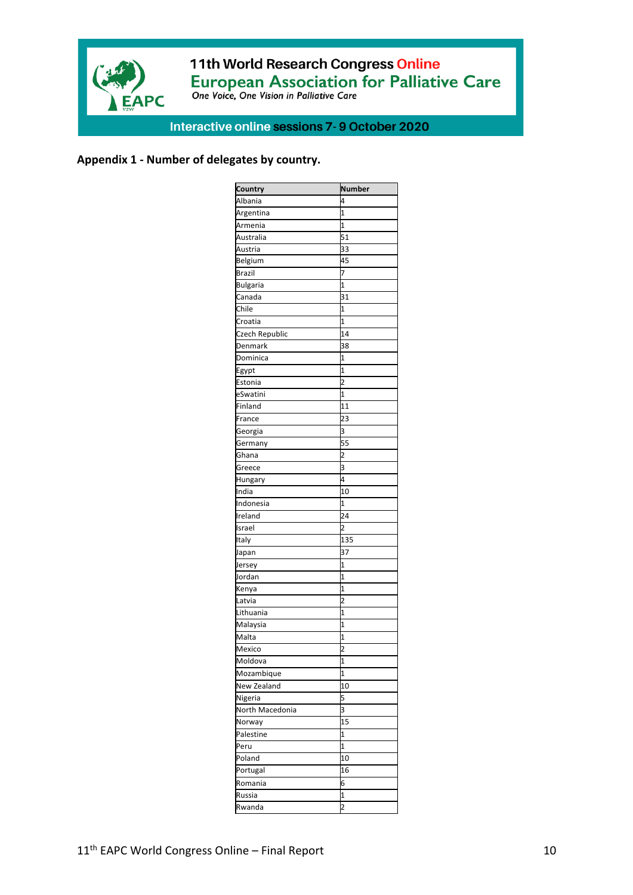

# 11th World Research Congress Online European Association for Palliative Care

# Interactive online sessions 7-9 October 2020

# **Appendix 1 - Number of delegates by country.**

| Country         | <b>Number</b>           |
|-----------------|-------------------------|
| Albania         | 4                       |
| Argentina       | 1                       |
| Armenia         | $\overline{1}$          |
| Australia       | $\overline{51}$         |
| Austria         | 33                      |
| Belgium         | 45                      |
| <b>Brazil</b>   | 7                       |
| <b>Bulgaria</b> | 1                       |
| Canada          | 31                      |
| Chile           | 1                       |
| Croatia         | $\overline{1}$          |
| Czech Republic  | 14                      |
| Denmark         | 38                      |
| Dominica        | 1                       |
| Egypt           | 1                       |
| Estonia         | $\overline{c}$          |
| eSwatini        | 1                       |
| Finland         | 11                      |
| France          | 23                      |
| Georgia         | 3                       |
| Germany         | 55                      |
| Ghana           | $\overline{\mathbf{c}}$ |
| Greece          | 3                       |
| Hungary         | 4                       |
| India           | 10                      |
| Indonesia       | 1                       |
| Ireland         | .<br>24                 |
| Israel          | $\overline{c}$          |
| Italy           | 135                     |
| Japan           | 37                      |
| Jersey          | 1                       |
| Jordan          | 1                       |
| Kenya           | 1                       |
| Latvia          | 2                       |
| Lithuania       | 1                       |
| Malaysia        | 1                       |
| Malta           | 1                       |
| Mexico          | 2                       |
| Moldova         | 1                       |
|                 | 1                       |
| Mozambique      |                         |
| New Zealand     | 10                      |
| Nigeria         | 5                       |
| North Macedonia | 3                       |
| Norway          | 15                      |
| Palestine       | 1                       |
| Peru            | 1                       |
| Poland          | 10                      |
| Portugal        | 16                      |
| Romania         | 6                       |
| Russia          | 1                       |
| Rwanda          | 2                       |